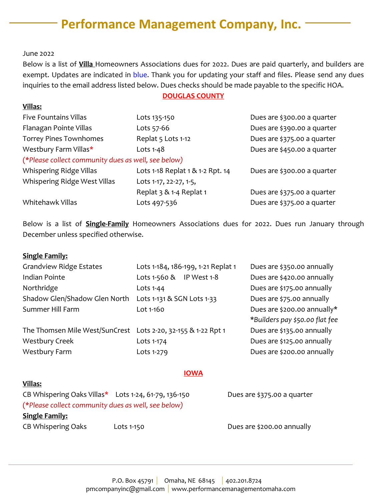# **Performance Management Company, Inc.**

June 2022

**Villas:**

Below is a list of **Villa** Homeowners Associations dues for 2022. Dues are paid quarterly, and builders are exempt. Updates are indicated in blue. Thank you for updating your staff and files. Please send any dues inquiries to the email address listed below. Dues checks should be made payable to the specific HOA.

## **DOUGLAS COUNTY**

| <b>Five Fountains Villas</b>                        | Lots 135-150                     | Dues are \$300.00 a quarter |  |  |
|-----------------------------------------------------|----------------------------------|-----------------------------|--|--|
| Flanagan Pointe Villas                              | Lots 57-66                       | Dues are \$390.00 a quarter |  |  |
| <b>Torrey Pines Townhomes</b>                       | Replat 5 Lots 1-12               | Dues are \$375.00 a quarter |  |  |
| Westbury Farm Villas*                               | Lots 1-48                        | Dues are \$450.00 a quarter |  |  |
| (*Please collect community dues as well, see below) |                                  |                             |  |  |
| Whispering Ridge Villas                             | Lots 1-18 Replat 1 & 1-2 Rpt. 14 | Dues are \$300.00 a quarter |  |  |
| Whispering Ridge West Villas                        | Lots 1-17, 22-27, 1-5,           |                             |  |  |
|                                                     | Replat 3 & 1-4 Replat 1          | Dues are \$375.00 a quarter |  |  |
| Whitehawk Villas                                    | Lots 497-536                     | Dues are \$375.00 a quarter |  |  |

Below is a list of **Single-Family** Homeowners Associations dues for 2022. Dues run January through December unless specified otherwise.

### **Single Family:**

**Villas:**

| <b>Grandview Ridge Estates</b>                                | Lots 1-184, 186-199, 1-21 Replat 1 | Dues are \$350.00 annually     |
|---------------------------------------------------------------|------------------------------------|--------------------------------|
| Indian Pointe                                                 | Lots 1-560 & IP West 1-8           | Dues are \$420.00 annually     |
| Northridge                                                    | Lots 1-44                          | Dues are \$175.00 annually     |
| Shadow Glen/Shadow Glen North                                 | Lots 1-131 & SGN Lots 1-33         | Dues are \$75.00 annually      |
| Summer Hill Farm                                              | Lot 1-160                          | Dues are \$200.00 annually*    |
|                                                               |                                    | *Builders pay \$50.00 flat fee |
| The Thomsen Mile West/SunCrest Lots 2-20, 32-155 & 1-22 Rpt 1 |                                    | Dues are \$135.00 annually     |
| <b>Westbury Creek</b>                                         | Lots 1-174                         | Dues are \$125.00 annually     |
| <b>Westbury Farm</b>                                          | Lots 1-279                         | Dues are \$200.00 annually     |

### **IOWA**

# CB Whispering Oaks Villas\* Lots 1-24, 61-79, 136-150 Dues are \$375.00 a quarter (\**Please collect community dues as well, see below)* **Single Family:** CB Whispering Oaks Lots 1-150 Lots 1-150 Dues are \$200.00 annually